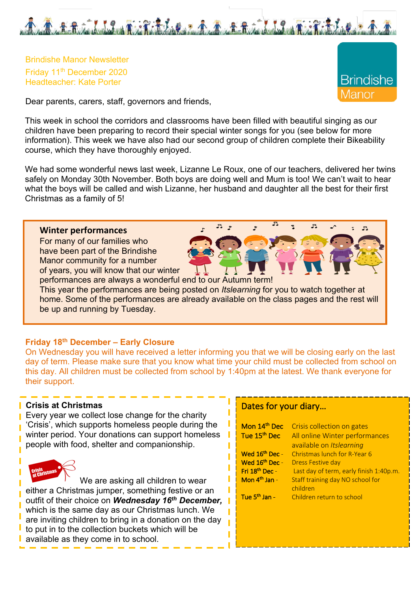

Brindishe Manor Newsletter Friday 11th December 2020 Headteacher: Kate Porter

**Brindishe** /lanor

 $\mathbb{R}$ 

Dear parents, carers, staff, governors and friends,

This week in school the corridors and classrooms have been filled with beautiful singing as our children have been preparing to record their special winter songs for you (see below for more information). This week we have also had our second group of children complete their Bikeability course, which they have thoroughly enjoyed.

We had some wonderful news last week, Lizanne Le Roux, one of our teachers, delivered her twins safely on Monday 30th November. Both boys are doing well and Mum is too! We can't wait to hear what the boys will be called and wish Lizanne, her husband and daughter all the best for their first Christmas as a family of 5!

 $F<sub>2</sub>$ 

## **Winter performances**

For many of our families who have been part of the Brindishe Manor community for a number of years, you will know that our winter

performances are always a wonderful end to our Autumn term! This year the performances are being posted on *Itslearning* for you to watch together at home. Some of the performances are already available on the class pages and the rest will be up and running by Tuesday.

## **Friday 18th December – Early Closure**

On Wednesday you will have received a letter informing you that we will be closing early on the last day of term. Please make sure that you know what time your child must be collected from school on this day. All children must be collected from school by 1:40pm at the latest. We thank everyone for their support.

#### **Crisis at Christmas**

Every year we collect lose change for the charity 'Crisis', which supports homeless people during the winter period. Your donations can support homeless people with food, shelter and companionship.



We are asking all children to wear either a Christmas jumper, something festive or an outfit of their choice on *Wednesday 16th December,* which is the same day as our Christmas lunch. We are inviting children to bring in a donation on the day to put in to the collection buckets which will be available as they come in to school.

## Dates for your diary…

| Mon 14 <sup>th</sup> Dec<br>Tue 15 <sup>th</sup> Dec | Crisis collection on gates<br>All online Winter performances<br>available on Itslearning |
|------------------------------------------------------|------------------------------------------------------------------------------------------|
| Wed 16 <sup>th</sup> Dec -                           | Christmas lunch for R-Year 6                                                             |
| Wed 16th Dec -                                       | <b>Dress Festive day</b>                                                                 |
| Fri 18th Dec -                                       | Last day of term, early finish 1:40p.m.                                                  |
| Mon 4 <sup>th</sup> Jan -                            | Staff training day NO school for<br>children                                             |
| Tue 5 <sup>th</sup> Jan -                            | Children return to school                                                                |

 $\mathbb{R}$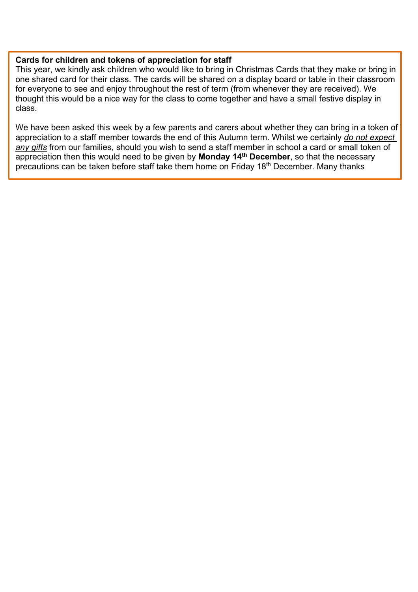#### **Cards for children and tokens of appreciation for staff**

This year, we kindly ask children who would like to bring in Christmas Cards that they make or bring in one shared card for their class. The cards will be shared on a display board or table in their classroom for everyone to see and enjoy throughout the rest of term (from whenever they are received). We thought this would be a nice way for the class to come together and have a small festive display in class.

We have been asked this week by a few parents and carers about whether they can bring in a token of appreciation to a staff member towards the end of this Autumn term. Whilst we certainly *do not expect any gifts* from our families, should you wish to send a staff member in school a card or small token of appreciation then this would need to be given by **Monday 14th December**, so that the necessary precautions can be taken before staff take them home on Friday 18<sup>th</sup> December. Many thanks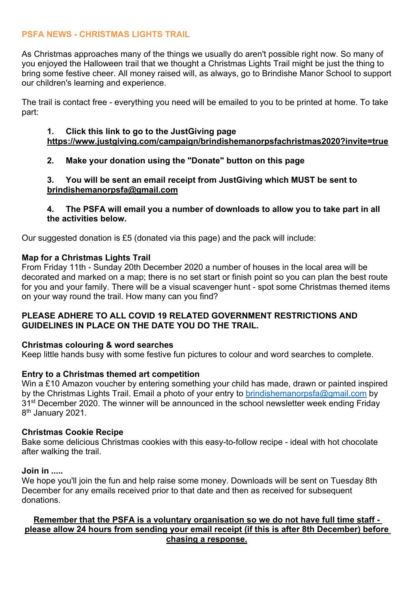# **PSFA NEWS - CHRISTMAS LIGHTS TRAIL**

As Christmas approaches many of the things we usually do aren't possible right now. So many of you enjoyed the Halloween trail that we thought a Christmas Lights Trail might be just the thing to bring some festive cheer. All money raised will, as always, go to Brindishe Manor School to support our children's learning and experience.

The trail is contact free - everything you need will be emailed to you to be printed at home. To take part:

## **1. Click this link to go to the JustGiving page https://www.justgiving.com/campaign/brindishemanorpsfachristmas2020?invite=true**

# **2. Make your donation using the "Donate" button on this page**

**3. You will be sent an email receipt from JustGiving which MUST be sent to brindishemanorpsfa@gmail.com**

**4. The PSFA will email you a number of downloads to allow you to take part in all the activities below.**

Our suggested donation is £5 (donated via this page) and the pack will include:

## **Map for a Christmas Lights Trail**

From Friday 11th - Sunday 20th December 2020 a number of houses in the local area will be decorated and marked on a map; there is no set start or finish point so you can plan the best route for you and your family. There will be a visual scavenger hunt - spot some Christmas themed items on your way round the trail. How many can you find?

## **PLEASE ADHERE TO ALL COVID 19 RELATED GOVERNMENT RESTRICTIONS AND GUIDELINES IN PLACE ON THE DATE YOU DO THE TRAIL.**

#### **Christmas colouring & word searches**

Keep little hands busy with some festive fun pictures to colour and word searches to complete.

# **Entry to a Christmas themed art competition**

Win a £10 Amazon voucher by entering something your child has made, drawn or painted inspired by the Christmas Lights Trail. Email a photo of your entry to brindishemanorpsfa@gmail.com by 31<sup>st</sup> December 2020. The winner will be announced in the school newsletter week ending Friday 8<sup>th</sup> January 2021.

#### **Christmas Cookie Recipe**

Bake some delicious Christmas cookies with this easy-to-follow recipe - ideal with hot chocolate after walking the trail.

#### **Join in .....**

We hope you'll join the fun and help raise some money. Downloads will be sent on Tuesday 8th December for any emails received prior to that date and then as received for subsequent donations.

## **Remember that the PSFA is a voluntary organisation so we do not have full time staff please allow 24 hours from sending your email receipt (if this is after 8th December) before chasing a response.**